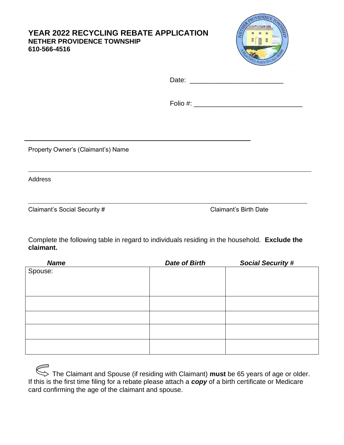## **YEAR 2022 RECYCLING REBATE APPLICATION NETHER PROVIDENCE TOWNSHIP 610-566-4516**



Folio #: \_\_\_\_\_\_\_\_\_\_\_\_\_\_\_\_\_\_\_\_\_\_\_\_\_\_\_\_\_

Property Owner's (Claimant's) Name

Address

Claimant's Social Security # Claimant's Birth Date

Complete the following table in regard to individuals residing in the household. **Exclude the claimant.**

| <b>Name</b> | <b>Date of Birth</b> | <b>Social Security #</b> |
|-------------|----------------------|--------------------------|
| Spouse:     |                      |                          |
|             |                      |                          |
|             |                      |                          |
|             |                      |                          |
|             |                      |                          |
|             |                      |                          |
|             |                      |                          |
|             |                      |                          |
|             |                      |                          |
|             |                      |                          |
|             |                      |                          |

| $\iff$ The Claimant and Spouse (if residing with Claimant) must be 65 years of age or older.                 |
|--------------------------------------------------------------------------------------------------------------|
| If this is the first time filing for a rebate please attach a <b>copy</b> of a birth certificate or Medicare |
| card confirming the age of the claimant and spouse.                                                          |